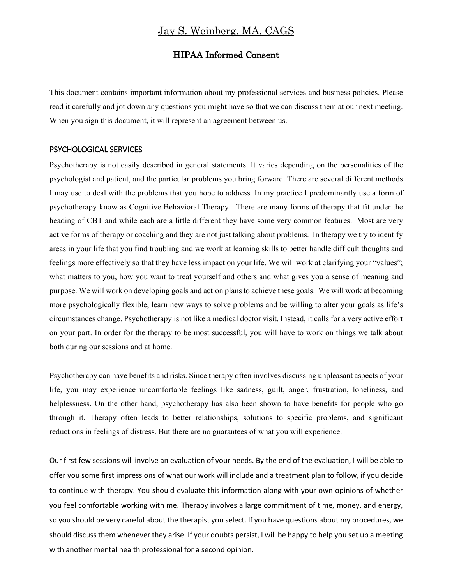# Jay S. Weinberg, MA, CAGS

## HIPAA Informed Consent

This document contains important information about my professional services and business policies. Please read it carefully and jot down any questions you might have so that we can discuss them at our next meeting. When you sign this document, it will represent an agreement between us.

#### PSYCHOLOGICAL SERVICES

Psychotherapy is not easily described in general statements. It varies depending on the personalities of the psychologist and patient, and the particular problems you bring forward. There are several different methods I may use to deal with the problems that you hope to address. In my practice I predominantly use a form of psychotherapy know as Cognitive Behavioral Therapy. There are many forms of therapy that fit under the heading of CBT and while each are a little different they have some very common features. Most are very active forms of therapy or coaching and they are not just talking about problems. In therapy we try to identify areas in your life that you find troubling and we work at learning skills to better handle difficult thoughts and feelings more effectively so that they have less impact on your life. We will work at clarifying your "values"; what matters to you, how you want to treat yourself and others and what gives you a sense of meaning and purpose. We will work on developing goals and action plans to achieve these goals. We will work at becoming more psychologically flexible, learn new ways to solve problems and be willing to alter your goals as life's circumstances change. Psychotherapy is not like a medical doctor visit. Instead, it calls for a very active effort on your part. In order for the therapy to be most successful, you will have to work on things we talk about both during our sessions and at home.

Psychotherapy can have benefits and risks. Since therapy often involves discussing unpleasant aspects of your life, you may experience uncomfortable feelings like sadness, guilt, anger, frustration, loneliness, and helplessness. On the other hand, psychotherapy has also been shown to have benefits for people who go through it. Therapy often leads to better relationships, solutions to specific problems, and significant reductions in feelings of distress. But there are no guarantees of what you will experience.

Our first few sessions will involve an evaluation of your needs. By the end of the evaluation, I will be able to offer you some first impressions of what our work will include and a treatment plan to follow, if you decide to continue with therapy. You should evaluate this information along with your own opinions of whether you feel comfortable working with me. Therapy involves a large commitment of time, money, and energy, so you should be very careful about the therapist you select. If you have questions about my procedures, we should discuss them whenever they arise. If your doubts persist, I will be happy to help you set up a meeting with another mental health professional for a second opinion.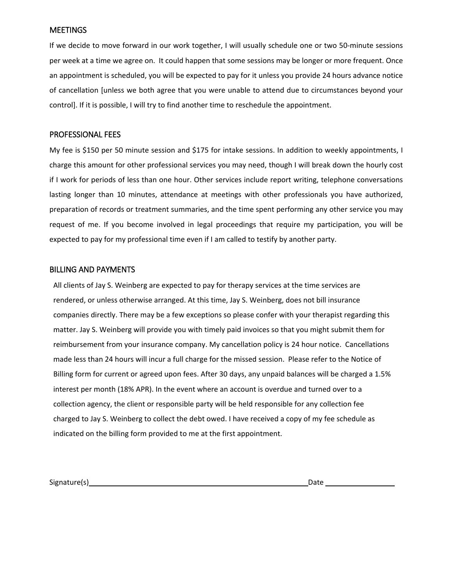### **MEETINGS**

If we decide to move forward in our work together, I will usually schedule one or two 50-minute sessions per week at a time we agree on. It could happen that some sessions may be longer or more frequent. Once an appointment is scheduled, you will be expected to pay for it unless you provide 24 hours advance notice of cancellation [unless we both agree that you were unable to attend due to circumstances beyond your control]. If it is possible, I will try to find another time to reschedule the appointment.

### PROFESSIONAL FEES

My fee is \$150 per 50 minute session and \$175 for intake sessions. In addition to weekly appointments, I charge this amount for other professional services you may need, though I will break down the hourly cost if I work for periods of less than one hour. Other services include report writing, telephone conversations lasting longer than 10 minutes, attendance at meetings with other professionals you have authorized, preparation of records or treatment summaries, and the time spent performing any other service you may request of me. If you become involved in legal proceedings that require my participation, you will be expected to pay for my professional time even if I am called to testify by another party.

## BILLING AND PAYMENTS

All clients of Jay S. Weinberg are expected to pay for therapy services at the time services are rendered, or unless otherwise arranged. At this time, Jay S. Weinberg, does not bill insurance companies directly. There may be a few exceptions so please confer with your therapist regarding this matter. Jay S. Weinberg will provide you with timely paid invoices so that you might submit them for reimbursement from your insurance company. My cancellation policy is 24 hour notice. Cancellations made less than 24 hours will incur a full charge for the missed session. Please refer to the Notice of Billing form for current or agreed upon fees. After 30 days, any unpaid balances will be charged a 1.5% interest per month (18% APR). In the event where an account is overdue and turned over to a collection agency, the client or responsible party will be held responsible for any collection fee charged to Jay S. Weinberg to collect the debt owed. I have received a copy of my fee schedule as indicated on the billing form provided to me at the first appointment.

Signature(s) Date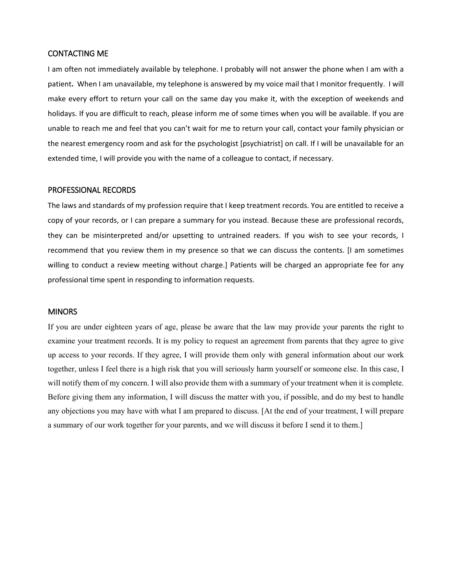### CONTACTING ME

I am often not immediately available by telephone. I probably will not answer the phone when I am with a patient**.** When I am unavailable, my telephone is answered by my voice mail that I monitor frequently. I will make every effort to return your call on the same day you make it, with the exception of weekends and holidays. If you are difficult to reach, please inform me of some times when you will be available. If you are unable to reach me and feel that you can't wait for me to return your call, contact your family physician or the nearest emergency room and ask for the psychologist [psychiatrist] on call. If I will be unavailable for an extended time, I will provide you with the name of a colleague to contact, if necessary.

#### PROFESSIONAL RECORDS

The laws and standards of my profession require that I keep treatment records. You are entitled to receive a copy of your records, or I can prepare a summary for you instead. Because these are professional records, they can be misinterpreted and/or upsetting to untrained readers. If you wish to see your records, I recommend that you review them in my presence so that we can discuss the contents. [I am sometimes willing to conduct a review meeting without charge.] Patients will be charged an appropriate fee for any professional time spent in responding to information requests.

#### **MINORS**

If you are under eighteen years of age, please be aware that the law may provide your parents the right to examine your treatment records. It is my policy to request an agreement from parents that they agree to give up access to your records. If they agree, I will provide them only with general information about our work together, unless I feel there is a high risk that you will seriously harm yourself or someone else. In this case, I will notify them of my concern. I will also provide them with a summary of your treatment when it is complete. Before giving them any information, I will discuss the matter with you, if possible, and do my best to handle any objections you may have with what I am prepared to discuss. [At the end of your treatment, I will prepare a summary of our work together for your parents, and we will discuss it before I send it to them.]